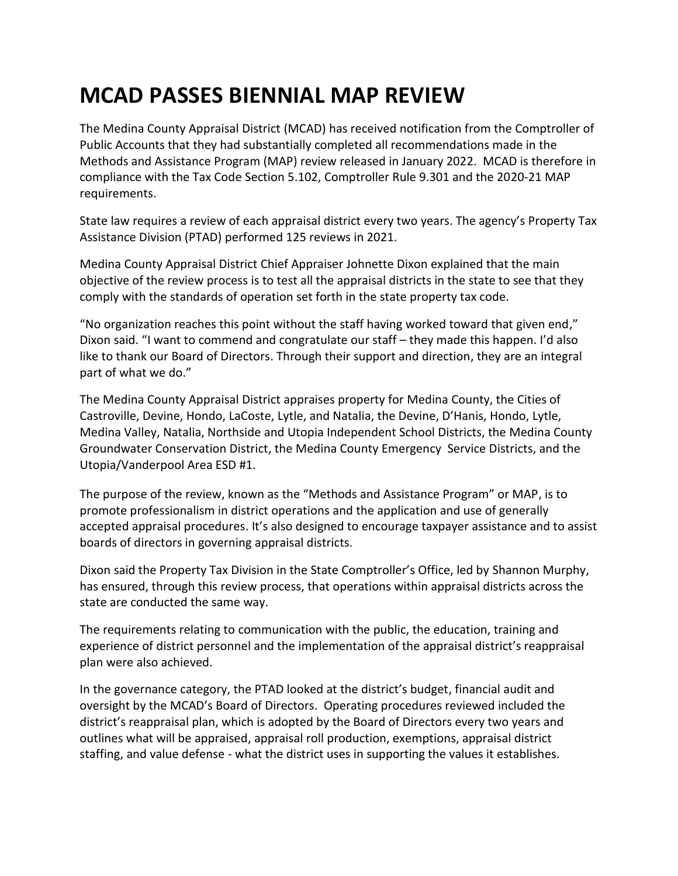## **MCAD PASSES BIENNIAL MAP REVIEW**

The Medina County Appraisal District (MCAD) has received notification from the Comptroller of Public Accounts that they had substantially completed all recommendations made in the Methods and Assistance Program (MAP) review released in January 2022. MCAD is therefore in compliance with the Tax Code Section 5.102, Comptroller Rule 9.301 and the 2020-21 MAP requirements.

State law requires a review of each appraisal district every two years. The agency's Property Tax Assistance Division (PTAD) performed 125 reviews in 2021.

Medina County Appraisal District Chief Appraiser Johnette Dixon explained that the main objective of the review process is to test all the appraisal districts in the state to see that they comply with the standards of operation set forth in the state property tax code.

"No organization reaches this point without the staff having worked toward that given end," Dixon said. "I want to commend and congratulate our staff – they made this happen. I'd also like to thank our Board of Directors. Through their support and direction, they are an integral part of what we do."

The Medina County Appraisal District appraises property for Medina County, the Cities of Castroville, Devine, Hondo, LaCoste, Lytle, and Natalia, the Devine, D'Hanis, Hondo, Lytle, Medina Valley, Natalia, Northside and Utopia Independent School Districts, the Medina County Groundwater Conservation District, the Medina County Emergency Service Districts, and the Utopia/Vanderpool Area ESD #1.

The purpose of the review, known as the "Methods and Assistance Program" or MAP, is to promote professionalism in district operations and the application and use of generally accepted appraisal procedures. It's also designed to encourage taxpayer assistance and to assist boards of directors in governing appraisal districts.

Dixon said the Property Tax Division in the State Comptroller's Office, led by Shannon Murphy, has ensured, through this review process, that operations within appraisal districts across the state are conducted the same way.

The requirements relating to communication with the public, the education, training and experience of district personnel and the implementation of the appraisal district's reappraisal plan were also achieved.

In the governance category, the PTAD looked at the district's budget, financial audit and oversight by the MCAD's Board of Directors. Operating procedures reviewed included the district's reappraisal plan, which is adopted by the Board of Directors every two years and outlines what will be appraised, appraisal roll production, exemptions, appraisal district staffing, and value defense - what the district uses in supporting the values it establishes.